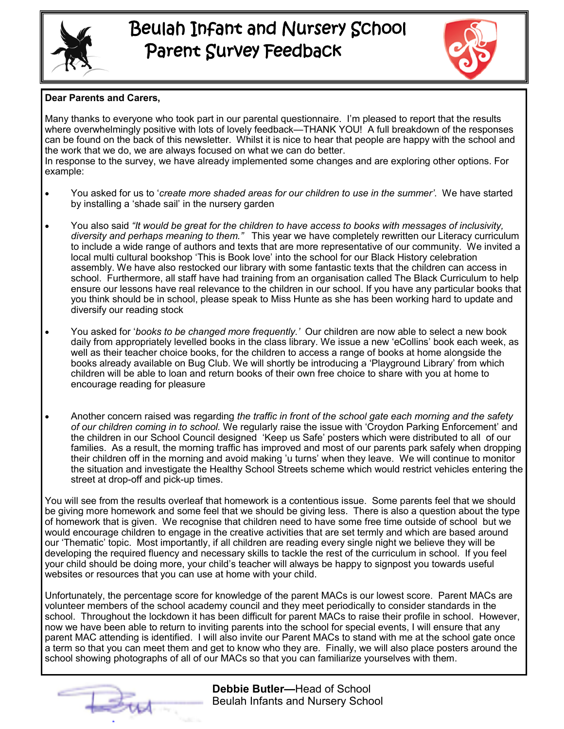

## Beulah Infant and Nursery School Parent Survey Feedback



## **Dear Parents and Carers,**

Many thanks to everyone who took part in our parental questionnaire. I'm pleased to report that the results where overwhelmingly positive with lots of lovely feedback—THANK YOU! A full breakdown of the responses can be found on the back of this newsletter. Whilst it is nice to hear that people are happy with the school and the work that we do, we are always focused on what we can do better. In response to the survey, we have already implemented some changes and are exploring other options. For example:

- You asked for us to '*create more shaded areas for our children to use in the summer'*. We have started by installing a 'shade sail' in the nursery garden
- You also said *"It would be great for the children to have access to books with messages of inclusivity, diversity and perhaps meaning to them."* This year we have completely rewritten our Literacy curriculum to include a wide range of authors and texts that are more representative of our community. We invited a local multi cultural bookshop 'This is Book love' into the school for our Black History celebration assembly. We have also restocked our library with some fantastic texts that the children can access in school. Furthermore, all staff have had training from an organisation called The Black Curriculum to help ensure our lessons have real relevance to the children in our school. If you have any particular books that you think should be in school, please speak to Miss Hunte as she has been working hard to update and diversify our reading stock
- You asked for '*books to be changed more frequently.'* Our children are now able to select a new book daily from appropriately levelled books in the class library. We issue a new 'eCollins' book each week, as well as their teacher choice books, for the children to access a range of books at home alongside the books already available on Bug Club. We will shortly be introducing a 'Playground Library' from which children will be able to loan and return books of their own free choice to share with you at home to encourage reading for pleasure
- Another concern raised was regarding *the traffic in front of the school gate each morning and the safety of our children coming in to school.* We regularly raise the issue with 'Croydon Parking Enforcement' and the children in our School Council designed 'Keep us Safe' posters which were distributed to all of our families. As a result, the morning traffic has improved and most of our parents park safely when dropping their children off in the morning and avoid making 'u turns' when they leave. We will continue to monitor the situation and investigate the Healthy School Streets scheme which would restrict vehicles entering the street at drop-off and pick-up times.

You will see from the results overleaf that homework is a contentious issue. Some parents feel that we should be giving more homework and some feel that we should be giving less. There is also a question about the type of homework that is given. We recognise that children need to have some free time outside of school but we would encourage children to engage in the creative activities that are set termly and which are based around our 'Thematic' topic. Most importantly, if all children are reading every single night we believe they will be developing the required fluency and necessary skills to tackle the rest of the curriculum in school. If you feel your child should be doing more, your child's teacher will always be happy to signpost you towards useful websites or resources that you can use at home with your child.

Unfortunately, the percentage score for knowledge of the parent MACs is our lowest score. Parent MACs are volunteer members of the school academy council and they meet periodically to consider standards in the school. Throughout the lockdown it has been difficult for parent MACs to raise their profile in school. However, now we have been able to return to inviting parents into the school for special events, I will ensure that any parent MAC attending is identified. I will also invite our Parent MACs to stand with me at the school gate once a term so that you can meet them and get to know who they are. Finally, we will also place posters around the school showing photographs of all of our MACs so that you can familiarize yourselves with them.



**Debbie Butler—**Head of School Beulah Infants and Nursery School